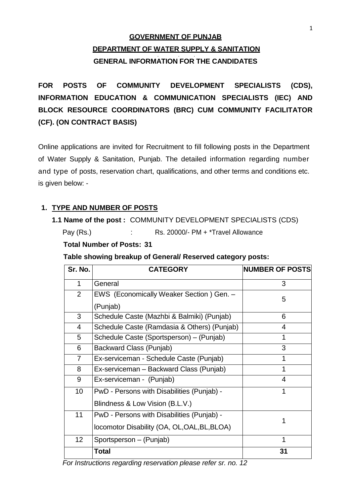# **GOVERNMENT OF PUNJAB DEPARTMENT OF WATER SUPPLY & SANITATION GENERAL INFORMATION FOR THE CANDIDATES**

**FOR POSTS OF COMMUNITY DEVELOPMENT SPECIALISTS (CDS), INFORMATION EDUCATION & COMMUNICATION SPECIALISTS (IEC) AND BLOCK RESOURCE COORDINATORS (BRC) CUM COMMUNITY FACILITATOR (CF). (ON CONTRACT BASIS)**

Online applications are invited for Recruitment to fill following posts in the Department of Water Supply & Sanitation, Punjab. The detailed information regarding number and type of posts, reservation chart, qualifications, and other terms and conditions etc. is given below: -

### **1. TYPE AND NUMBER OF POSTS**

**1.1 Name of the post :** COMMUNITY DEVELOPMENT SPECIALISTS (CDS)

Pay (Rs.) : Rs. 20000/- PM + \*Travel Allowance

**Total Number of Posts: 31**

**Table showing breakup of General/ Reserved category posts:**

| Sr. No.         | <b>CATEGORY</b>                                                                            | <b>NUMBER OF POSTS</b> |  |  |
|-----------------|--------------------------------------------------------------------------------------------|------------------------|--|--|
| 1               | General                                                                                    | 3                      |  |  |
| $\overline{2}$  | EWS (Economically Weaker Section) Gen. -<br>(Punjab)                                       | 5                      |  |  |
| 3               | Schedule Caste (Mazhbi & Balmiki) (Punjab)                                                 | 6                      |  |  |
| 4               | Schedule Caste (Ramdasia & Others) (Punjab)                                                | 4                      |  |  |
| 5               | Schedule Caste (Sportsperson) – (Punjab)                                                   | 1                      |  |  |
| 6               | 3<br>Backward Class (Punjab)                                                               |                        |  |  |
| $\overline{7}$  | Ex-serviceman - Schedule Caste (Punjab)<br>1                                               |                        |  |  |
| 8               | Ex-serviceman - Backward Class (Punjab)                                                    | 1                      |  |  |
| 9               | Ex-serviceman - (Punjab)                                                                   | 4                      |  |  |
| 10              | PwD - Persons with Disabilities (Punjab) -<br>Blindness & Low Vision (B.L.V.)              | 1                      |  |  |
| 11              | PwD - Persons with Disabilities (Punjab) -<br>locomotor Disability (OA, OL, OAL, BL, BLOA) |                        |  |  |
| 12 <sub>2</sub> | Sportsperson - (Punjab)                                                                    | 1                      |  |  |
|                 | <b>Total</b>                                                                               | 31                     |  |  |

*For Instructions regarding reservation please refer sr. no. 12*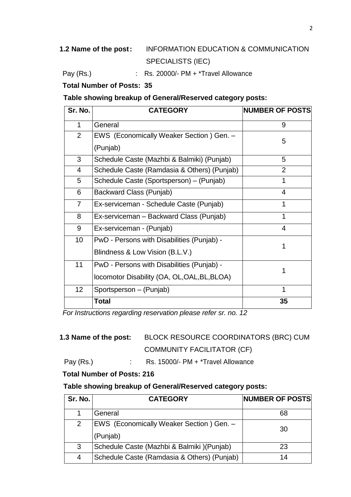# **1.2 Name of the post:** INFORMATION EDUCATION & COMMUNICATION SPECIALISTS (IEC)

Pay (Rs.) : Rs. 20000/- PM + \*Travel Allowance

**Total Number of Posts: 35**

**Table showing breakup of General/Reserved category posts:**

| Sr. No.         | <b>CATEGORY</b>                                                                    | <b>NUMBER OF POSTS</b> |  |
|-----------------|------------------------------------------------------------------------------------|------------------------|--|
| 1               | General                                                                            | 9                      |  |
| $\overline{2}$  | EWS (Economically Weaker Section) Gen. -<br>(Punjab)                               | 5                      |  |
| 3               | Schedule Caste (Mazhbi & Balmiki) (Punjab)                                         | 5                      |  |
| 4               | Schedule Caste (Ramdasia & Others) (Punjab)                                        | $\overline{2}$         |  |
| 5               | Schedule Caste (Sportsperson) - (Punjab)                                           | 1                      |  |
| 6               | Backward Class (Punjab)                                                            | 4                      |  |
| 7               | Ex-serviceman - Schedule Caste (Punjab)<br>1                                       |                        |  |
| 8               | Ex-serviceman – Backward Class (Punjab)                                            | 1                      |  |
| 9               | Ex-serviceman - (Punjab)                                                           | 4                      |  |
| 10              | PwD - Persons with Disabilities (Punjab) -<br>1<br>Blindness & Low Vision (B.L.V.) |                        |  |
| 11              | PwD - Persons with Disabilities (Punjab) -                                         |                        |  |
|                 | locomotor Disability (OA, OL, OAL, BL, BLOA)                                       |                        |  |
| 12 <sub>2</sub> | Sportsperson - (Punjab)                                                            | 1                      |  |
|                 | <b>Total</b>                                                                       | 35                     |  |

*For Instructions regarding reservation please refer sr. no. 12*

# **1.3 Name of the post:** BLOCK RESOURCE COORDINATORS (BRC) CUM COMMUNITY FACILITATOR (CF)

Pay (Rs.) : Rs. 15000/- PM + \*Travel Allowance

### **Total Number of Posts: 216**

### **Table showing breakup of General/Reserved category posts:**

| Sr. No.               | <b>CATEGORY</b>                                      | NUMBER OF POSTS |
|-----------------------|------------------------------------------------------|-----------------|
|                       | General                                              | 68              |
| $\mathbf{2}^{\prime}$ | EWS (Economically Weaker Section) Gen. -<br>(Punjab) | 30              |
| 3                     | Schedule Caste (Mazhbi & Balmiki) (Punjab)           | 23              |
| 4                     | Schedule Caste (Ramdasia & Others) (Punjab)          | 14              |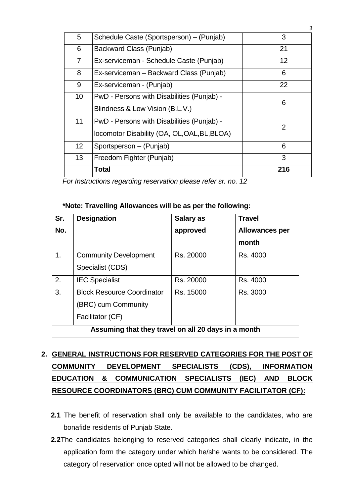|    | Total                                                                                      | 216 |
|----|--------------------------------------------------------------------------------------------|-----|
| 13 | Freedom Fighter (Punjab)                                                                   | 3   |
| 12 | Sportsperson - (Punjab)                                                                    | 6   |
| 11 | PwD - Persons with Disabilities (Punjab) -<br>locomotor Disability (OA, OL, OAL, BL, BLOA) | 2   |
| 10 | PwD - Persons with Disabilities (Punjab) -<br>Blindness & Low Vision (B.L.V.)              | 6   |
| 9  | Ex-serviceman - (Punjab)                                                                   | 22  |
| 8  | Ex-serviceman – Backward Class (Punjab)                                                    | 6   |
| 7  | Ex-serviceman - Schedule Caste (Punjab)                                                    | 12  |
| 6  | Backward Class (Punjab)                                                                    | 21  |
| 5  | Schedule Caste (Sportsperson) – (Punjab)                                                   | 3   |

*For Instructions regarding reservation please refer sr. no. 12*

### **\*Note: Travelling Allowances will be as per the following:**

| Sr.                                                 | <b>Designation</b>                | Salary as | <b>Travel</b>         |
|-----------------------------------------------------|-----------------------------------|-----------|-----------------------|
| No.                                                 |                                   | approved  | <b>Allowances per</b> |
|                                                     |                                   |           | month                 |
| 1.                                                  | <b>Community Development</b>      | Rs. 20000 | Rs. 4000              |
|                                                     | Specialist (CDS)                  |           |                       |
| 2.                                                  | <b>IEC Specialist</b>             | Rs. 20000 | Rs. 4000              |
| 3.                                                  | <b>Block Resource Coordinator</b> | Rs. 15000 | Rs. 3000              |
|                                                     | (BRC) cum Community               |           |                       |
|                                                     | Facilitator (CF)                  |           |                       |
| Assuming that they travel on all 20 days in a month |                                   |           |                       |

# **2. GENERAL INSTRUCTIONS FOR RESERVED CATEGORIES FOR THE POST OF COMMUNITY DEVELOPMENT SPECIALISTS (CDS), INFORMATION EDUCATION & COMMUNICATION SPECIALISTS (IEC) AND BLOCK RESOURCE COORDINATORS (BRC) CUM COMMUNITY FACILITATOR (CF):**

- **2.1** The benefit of reservation shall only be available to the candidates, who are bonafide residents of Punjab State.
- **2.2**The candidates belonging to reserved categories shall clearly indicate, in the application form the category under which he/she wants to be considered. The category of reservation once opted will not be allowed to be changed.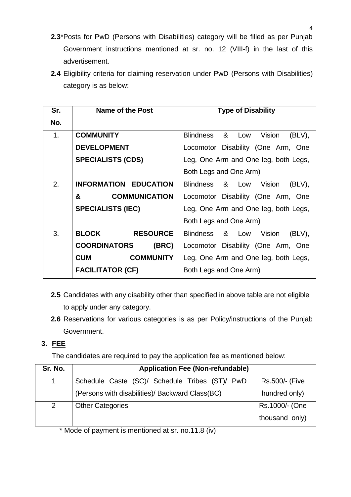- **2.3**\*Posts for PwD (Persons with Disabilities) category will be filled as per Punjab Government instructions mentioned at sr. no. 12 (VIII-f) in the last of this advertisement.
- **2.4** Eligibility criteria for claiming reservation under PwD (Persons with Disabilities) category is as below:

| Sr.            | Name of the Post                | <b>Type of Disability</b>              |
|----------------|---------------------------------|----------------------------------------|
| No.            |                                 |                                        |
| 1 <sub>1</sub> | <b>COMMUNITY</b>                | Blindness & Low<br>Vision<br>(BLV),    |
|                | <b>DEVELOPMENT</b>              | Locomotor Disability (One Arm, One     |
|                | <b>SPECIALISTS (CDS)</b>        | Leg, One Arm and One leg, both Legs,   |
|                |                                 | Both Legs and One Arm)                 |
| 2.             | <b>INFORMATION EDUCATION</b>    | Blindness & Low<br>Vision<br>(BLV),    |
|                | &<br><b>COMMUNICATION</b>       | Locomotor Disability (One Arm, One     |
|                | <b>SPECIALISTS (IEC)</b>        | Leg, One Arm and One leg, both Legs,   |
|                |                                 | Both Legs and One Arm)                 |
| 3.             | <b>BLOCK</b><br><b>RESOURCE</b> | Blindness & Low<br>Vision<br>$(BLV)$ , |
|                | <b>COORDINATORS</b><br>(BRC)    | Locomotor Disability (One Arm, One     |
|                | <b>CUM</b><br><b>COMMUNITY</b>  | Leg, One Arm and One leg, both Legs,   |
|                | <b>FACILITATOR (CF)</b>         | Both Legs and One Arm)                 |

- **2.5** Candidates with any disability other than specified in above table are not eligible to apply under any category.
- **2.6** Reservations for various categories is as per Policy/instructions of the Punjab Government.

### **3. FEE**

The candidates are required to pay the application fee as mentioned below:

| Sr. No. | <b>Application Fee (Non-refundable)</b>         |                |  |
|---------|-------------------------------------------------|----------------|--|
|         | Schedule Caste (SC)/ Schedule Tribes (ST)/ PwD  | Rs.500/- (Five |  |
|         | (Persons with disabilities)/ Backward Class(BC) | hundred only)  |  |
| 2       | <b>Other Categories</b>                         | Rs.1000/- (One |  |
|         |                                                 | thousand only) |  |

\* Mode of payment is mentioned at sr. no.11.8 (iv)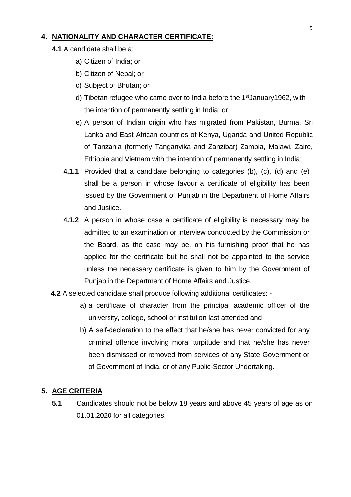#### **4. NATIONALITY AND CHARACTER CERTIFICATE:**

- **4.1** A candidate shall be a:
	- a) Citizen of India; or
	- b) Citizen of Nepal; or
	- c) Subject of Bhutan; or
	- d) Tibetan refugee who came over to India before the 1<sup>st</sup>January1962, with the intention of permanently settling in India; or
	- e) A person of Indian origin who has migrated from Pakistan, Burma, Sri Lanka and East African countries of Kenya, Uganda and United Republic of Tanzania (formerly Tanganyika and Zanzibar) Zambia, Malawi, Zaire, Ethiopia and Vietnam with the intention of permanently settling in India;
	- **4.1.1** Provided that a candidate belonging to categories (b), (c), (d) and (e) shall be a person in whose favour a certificate of eligibility has been issued by the Government of Punjab in the Department of Home Affairs and Justice.
	- **4.1.2** A person in whose case a certificate of eligibility is necessary may be admitted to an examination or interview conducted by the Commission or the Board, as the case may be, on his furnishing proof that he has applied for the certificate but he shall not be appointed to the service unless the necessary certificate is given to him by the Government of Punjab in the Department of Home Affairs and Justice.
- **4.2** A selected candidate shall produce following additional certificates:
	- a) a certificate of character from the principal academic officer of the university, college, school or institution last attended and
	- b) A self-declaration to the effect that he/she has never convicted for any criminal offence involving moral turpitude and that he/she has never been dismissed or removed from services of any State Government or of Government of India, or of any Public-Sector Undertaking.

#### **5. AGE CRITERIA**

**5.1** Candidates should not be below 18 years and above 45 years of age as on 01.01.2020 for all categories.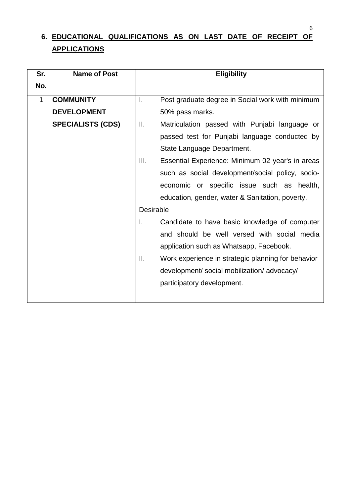#### 6

# **6. EDUCATIONAL QUALIFICATIONS AS ON LAST DATE OF RECEIPT OF APPLICATIONS**

| Sr.         | <b>Name of Post</b>      | <b>Eligibility</b>                                                 |
|-------------|--------------------------|--------------------------------------------------------------------|
| No.         |                          |                                                                    |
| $\mathbf 1$ | <b>COMMUNITY</b>         | Post graduate degree in Social work with minimum<br>$\mathbf{I}$ . |
|             | <b>DEVELOPMENT</b>       | 50% pass marks.                                                    |
|             | <b>SPECIALISTS (CDS)</b> | $\Pi$ .<br>Matriculation passed with Punjabi language or           |
|             |                          | passed test for Punjabi language conducted by                      |
|             |                          | State Language Department.                                         |
|             |                          | III.<br>Essential Experience: Minimum 02 year's in areas           |
|             |                          | such as social development/social policy, socio-                   |
|             |                          | economic or specific issue such as health,                         |
|             |                          | education, gender, water & Sanitation, poverty.                    |
|             |                          | Desirable                                                          |
|             |                          | Candidate to have basic knowledge of computer<br>I.                |
|             |                          | and should be well versed with social media                        |
|             |                          | application such as Whatsapp, Facebook.                            |
|             |                          | II.<br>Work experience in strategic planning for behavior          |
|             |                          | development/ social mobilization/ advocacy/                        |
|             |                          | participatory development.                                         |
|             |                          |                                                                    |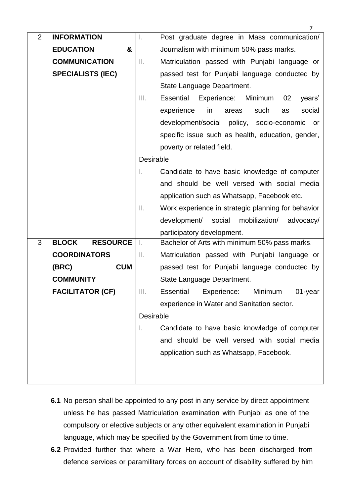|   |                                 |                  | $\overline{7}$                                     |
|---|---------------------------------|------------------|----------------------------------------------------|
| 2 | <b>INFORMATION</b>              | ı.               | Post graduate degree in Mass communication/        |
|   | <b>EDUCATION</b><br>&           |                  | Journalism with minimum 50% pass marks.            |
|   | <b>COMMUNICATION</b>            | II.              | Matriculation passed with Punjabi language or      |
|   | <b>SPECIALISTS (IEC)</b>        |                  | passed test for Punjabi language conducted by      |
|   |                                 |                  | State Language Department.                         |
|   |                                 | III.             | Essential<br>Experience: Minimum<br>02<br>years'   |
|   |                                 |                  | experience<br>social<br>in<br>such<br>areas<br>as  |
|   |                                 |                  | development/social policy,<br>socio-economic<br>or |
|   |                                 |                  | specific issue such as health, education, gender,  |
|   |                                 |                  | poverty or related field.                          |
|   |                                 | <b>Desirable</b> |                                                    |
|   |                                 | I.               | Candidate to have basic knowledge of computer      |
|   |                                 |                  | and should be well versed with social media        |
|   |                                 |                  | application such as Whatsapp, Facebook etc.        |
|   |                                 | Ⅱ.               | Work experience in strategic planning for behavior |
|   |                                 |                  | social mobilization/<br>development/<br>advocacy/  |
|   |                                 |                  | participatory development.                         |
| 3 | <b>BLOCK</b><br><b>RESOURCE</b> | I.               | Bachelor of Arts with minimum 50% pass marks.      |
|   | <b>COORDINATORS</b>             | Ⅱ.               | Matriculation passed with Punjabi language or      |
|   | <b>CUM</b><br>(BRC)             |                  | passed test for Punjabi language conducted by      |
|   | <b>COMMUNITY</b>                |                  | State Language Department.                         |
|   | <b>FACILITATOR (CF)</b>         | III.             | Essential Experience:<br>Minimum<br>01-year        |
|   |                                 |                  | experience in Water and Sanitation sector.         |
|   |                                 | Desirable        |                                                    |
|   |                                 | I.               | Candidate to have basic knowledge of computer      |
|   |                                 |                  | and should be well versed with social media        |
|   |                                 |                  | application such as Whatsapp, Facebook.            |
|   |                                 |                  |                                                    |
|   |                                 |                  |                                                    |

- **6.1** No person shall be appointed to any post in any service by direct appointment unless he has passed Matriculation examination with Punjabi as one of the compulsory or elective subjects or any other equivalent examination in Punjabi language, which may be specified by the Government from time to time.
- **6.2** Provided further that where a War Hero, who has been discharged from defence services or paramilitary forces on account of disability suffered by him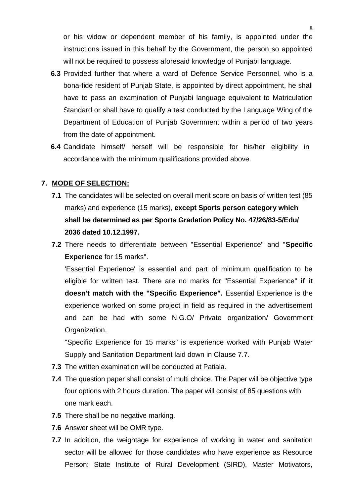or his widow or dependent member of his family, is appointed under the instructions issued in this behalf by the Government, the person so appointed will not be required to possess aforesaid knowledge of Punjabi language.

- **6.3** Provided further that where a ward of Defence Service Personnel, who is a bona-fide resident of Punjab State, is appointed by direct appointment, he shall have to pass an examination of Punjabi language equivalent to Matriculation Standard or shall have to qualify a test conducted by the Language Wing of the Department of Education of Punjab Government within a period of two years from the date of appointment.
- **6.4** Candidate himself/ herself will be responsible for his/her eligibility in accordance with the minimum qualifications provided above.

#### **7. MODE OF SELECTION:**

- **7.1** The candidates will be selected on overall merit score on basis of written test (85 marks) and experience (15 marks), **except Sports person category which shall be determined as per Sports Gradation Policy No. 47/26/83-5/Edu/ 2036 dated 10.12.1997.**
- **7.2** There needs to differentiate between "Essential Experience" and "**Specific Experience** for 15 marks".

'Essential Experience' is essential and part of minimum qualification to be eligible for written test. There are no marks for "Essential Experience" **if it doesn't match with the "Specific Experience".** Essential Experience is the experience worked on some project in field as required in the advertisement and can be had with some N.G.O/ Private organization/ Government Organization.

"Specific Experience for 15 marks" is experience worked with Punjab Water Supply and Sanitation Department laid down in Clause 7.7.

- **7.3** The written examination will be conducted at Patiala.
- **7.4** The question paper shall consist of multi choice. The Paper will be objective type four options with 2 hours duration. The paper will consist of 85 questions with one mark each.
- **7.5** There shall be no negative marking.
- **7.6** Answer sheet will be OMR type.
- **7.7** In addition, the weightage for experience of working in water and sanitation sector will be allowed for those candidates who have experience as Resource Person: State Institute of Rural Development (SIRD), Master Motivators,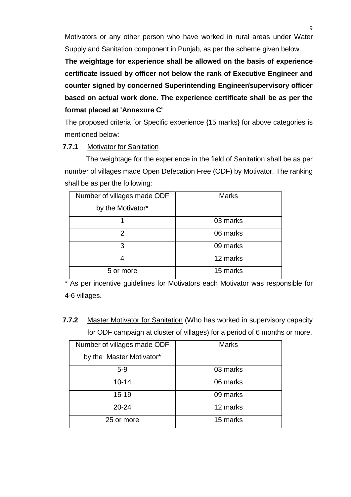Motivators or any other person who have worked in rural areas under Water Supply and Sanitation component in Punjab, as per the scheme given below.

**The weightage for experience shall be allowed on the basis of experience certificate issued by officer not below the rank of Executive Engineer and counter signed by concerned Superintending Engineer/supervisory officer based on actual work done. The experience certificate shall be as per the format placed at 'Annexure C'**

The proposed criteria for Specific experience {15 marks} for above categories is mentioned below:

### **7.7.1** Motivator for Sanitation

The weightage for the experience in the field of Sanitation shall be as per number of villages made Open Defecation Free (ODF) by Motivator. The ranking shall be as per the following:

| Number of villages made ODF | <b>Marks</b> |
|-----------------------------|--------------|
| by the Motivator*           |              |
|                             | 03 marks     |
| 2                           | 06 marks     |
| 3                           | 09 marks     |
|                             | 12 marks     |
| 5 or more                   | 15 marks     |

\* As per incentive guidelines for Motivators each Motivator was responsible for 4-6 villages.

**7.7.2** Master Motivator for Sanitation (Who has worked in supervisory capacity for ODF campaign at cluster of villages) for a period of 6 months or more.

| Number of villages made ODF | <b>Marks</b> |
|-----------------------------|--------------|
| by the Master Motivator*    |              |
| $5-9$                       | 03 marks     |
| $10 - 14$                   | 06 marks     |
| $15 - 19$                   | 09 marks     |
| $20 - 24$                   | 12 marks     |
| 25 or more                  | 15 marks     |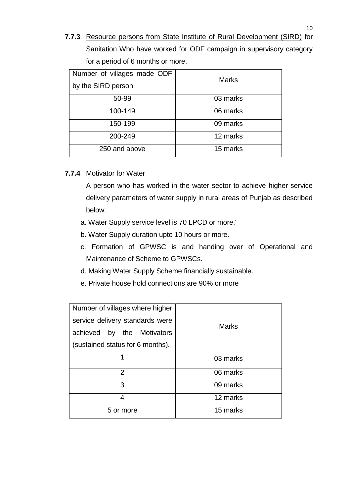**7.7.3** Resource persons from State Institute of Rural Development (SIRD) for Sanitation Who have worked for ODF campaign in supervisory category for a period of 6 months or more.

| Number of villages made ODF | <b>Marks</b> |  |
|-----------------------------|--------------|--|
| by the SIRD person          |              |  |
| 50-99                       | 03 marks     |  |
| 100-149                     | 06 marks     |  |
| 150-199                     | 09 marks     |  |
| 200-249                     | 12 marks     |  |
| 250 and above               | 15 marks     |  |

### **7.7.4** Motivator for Water

A person who has worked in the water sector to achieve higher service delivery parameters of water supply in rural areas of Punjab as described below:

- a. Water Supply service level is 70 LPCD or more.'
- b. Water Supply duration upto 10 hours or more.
- c. Formation of GPWSC is and handing over of Operational and Maintenance of Scheme to GPWSCs.
- d. Making Water Supply Scheme financially sustainable.
- e. Private house hold connections are 90% or more

| Number of villages where higher<br>service delivery standards were<br>achieved by<br>the Motivators<br>(sustained status for 6 months). | <b>Marks</b> |
|-----------------------------------------------------------------------------------------------------------------------------------------|--------------|
| 1                                                                                                                                       | 03 marks     |
| $\overline{2}$                                                                                                                          | 06 marks     |
| 3                                                                                                                                       | 09 marks     |
| 4                                                                                                                                       | 12 marks     |
| 5 or more                                                                                                                               | 15 marks     |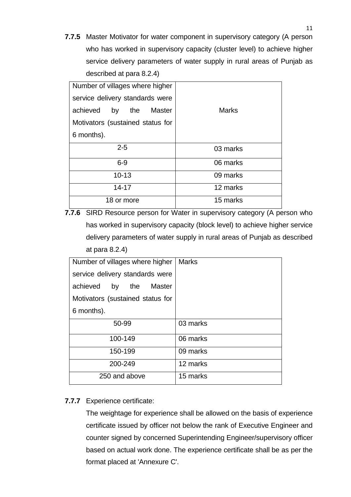**7.7.5** Master Motivator for water component in supervisory category (A person who has worked in supervisory capacity (cluster level) to achieve higher service delivery parameters of water supply in rural areas of Punjab as described at para 8.2.4)

| Number of villages where higher  |              |
|----------------------------------|--------------|
| service delivery standards were  |              |
| achieved<br>by the Master        | <b>Marks</b> |
| Motivators (sustained status for |              |
| 6 months).                       |              |
| $2 - 5$                          | 03 marks     |
| $6-9$                            | 06 marks     |
| $10 - 13$                        | 09 marks     |
| $14 - 17$                        | 12 marks     |
| 18 or more                       | 15 marks     |

**7.7.6** SIRD Resource person for Water in supervisory category (A person who has worked in supervisory capacity (block level) to achieve higher service delivery parameters of water supply in rural areas of Punjab as described at para 8.2.4)

| Number of villages where higher  | <b>Marks</b> |
|----------------------------------|--------------|
| service delivery standards were  |              |
| achieved<br>the Master<br>by     |              |
| Motivators (sustained status for |              |
| 6 months).                       |              |
| 50-99                            | 03 marks     |
| 100-149                          | 06 marks     |
| 150-199                          | 09 marks     |
| 200-249                          | 12 marks     |
| 250 and above                    | 15 marks     |

### **7.7.7** Experience certificate:

The weightage for experience shall be allowed on the basis of experience certificate issued by officer not below the rank of Executive Engineer and counter signed by concerned Superintending Engineer/supervisory officer based on actual work done. The experience certificate shall be as per the format placed at 'Annexure C'.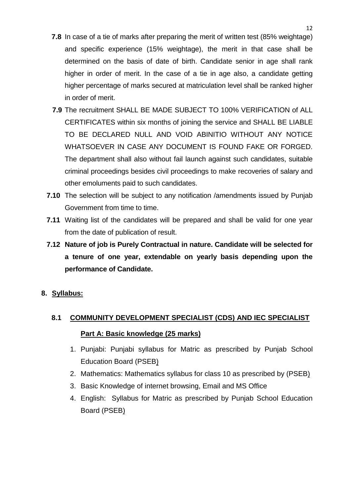- **7.8** In case of a tie of marks after preparing the merit of written test (85% weightage) and specific experience (15% weightage), the merit in that case shall be determined on the basis of date of birth. Candidate senior in age shall rank higher in order of merit. In the case of a tie in age also, a candidate getting higher percentage of marks secured at matriculation level shall be ranked higher in order of merit.
- **7.9** The recruitment SHALL BE MADE SUBJECT TO 100% VERIFICATION of ALL CERTIFICATES within six months of joining the service and SHALL BE LIABLE TO BE DECLARED NULL AND VOID ABINITIO WITHOUT ANY NOTICE WHATSOEVER IN CASE ANY DOCUMENT IS FOUND FAKE OR FORGED. The department shall also without fail launch against such candidates, suitable criminal proceedings besides civil proceedings to make recoveries of salary and other emoluments paid to such candidates.
- **7.10** The selection will be subject to any notification /amendments issued by Punjab Government from time to time.
- **7.11** Waiting list of the candidates will be prepared and shall be valid for one year from the date of publication of result.
- **7.12 Nature of job is Purely Contractual in nature. Candidate will be selected for a tenure of one year, extendable on yearly basis depending upon the performance of Candidate.**

### **8. Syllabus:**

# **8.1 COMMUNITY DEVELOPMENT SPECIALIST (CDS) AND IEC SPECIALIST Part A: Basic knowledge (25 marks)**

- 1. Punjabi: Punjabi syllabus for Matric as prescribed by Punjab School Education Board (PSEB)
- 2. Mathematics: Mathematics syllabus for class 10 as prescribed by (PSEB)
- 3. Basic Knowledge of internet browsing, Email and MS Office
- 4. English: Syllabus for Matric as prescribed by Punjab School Education Board (PSEB)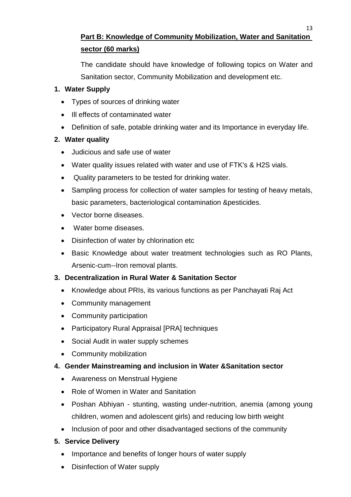# **Part B: Knowledge of Community Mobilization, Water and Sanitation sector (60 marks)**

The candidate should have knowledge of following topics on Water and Sanitation sector, Community Mobilization and development etc.

### **1. Water Supply**

- Types of sources of drinking water
- Ill effects of contaminated water
- Definition of safe, potable drinking water and its Importance in everyday life.

# **2. Water quality**

- Judicious and safe use of water
- Water quality issues related with water and use of FTK's & H2S vials.
- Quality parameters to be tested for drinking water.
- Sampling process for collection of water samples for testing of heavy metals, basic parameters, bacteriological contamination &pesticides.
- Vector borne diseases.
- Water borne diseases.
- Disinfection of water by chlorination etc
- Basic Knowledge about water treatment technologies such as RO Plants, Arsenic-cum--Iron removal plants.

# **3. Decentralization in Rural Water & Sanitation Sector**

- Knowledge about PRIs, its various functions as per Panchayati Raj Act
- Community management
- Community participation
- Participatory Rural Appraisal [PRA] techniques
- Social Audit in water supply schemes
- Community mobilization

# **4. Gender Mainstreaming and inclusion in Water &Sanitation sector**

- Awareness on Menstrual Hygiene
- Role of Women in Water and Sanitation
- Poshan Abhiyan stunting, wasting under-nutrition, anemia (among young children, women and adolescent girls) and reducing low birth weight
- Inclusion of poor and other disadvantaged sections of the community
- **5. Service Delivery**
	- Importance and benefits of longer hours of water supply
	- Disinfection of Water supply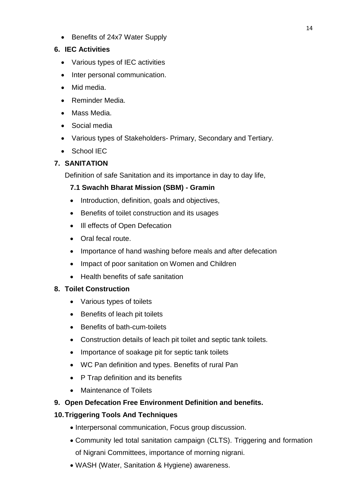• Benefits of 24x7 Water Supply

### **6. IEC Activities**

- Various types of IEC activities
- Inter personal communication.
- Mid media.
- Reminder Media.
- Mass Media.
- Social media
- Various types of Stakeholders- Primary, Secondary and Tertiary.
- School IEC

# **7. SANITATION**

Definition of safe Sanitation and its importance in day to day life,

# **7.1 Swachh Bharat Mission (SBM) - Gramin**

- Introduction, definition, goals and objectives,
- Benefits of toilet construction and its usages
- Ill effects of Open Defecation
- Oral fecal route.
- Importance of hand washing before meals and after defecation
- Impact of poor sanitation on Women and Children
- Health benefits of safe sanitation

### **8. Toilet Construction**

- Various types of toilets
- Benefits of leach pit toilets
- Benefits of bath-cum-toilets
- Construction details of leach pit toilet and septic tank toilets.
- Importance of soakage pit for septic tank toilets
- WC Pan definition and types. Benefits of rural Pan
- P Trap definition and its benefits
- Maintenance of Toilets

# **9. Open Defecation Free Environment Definition and benefits.**

# **10.Triggering Tools And Techniques**

- Interpersonal communication, Focus group discussion.
- Community led total sanitation campaign (CLTS). Triggering and formation of Nigrani Committees, importance of morning nigrani.
- WASH (Water, Sanitation & Hygiene) awareness.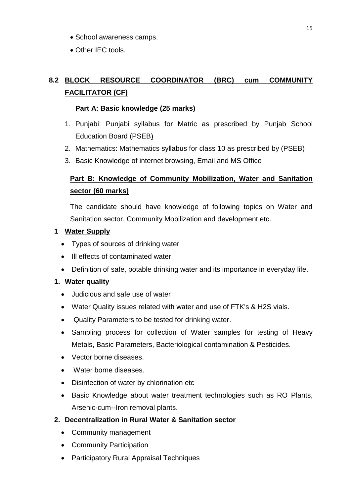- School awareness camps.
- Other IEC tools.

# **8.2 BLOCK RESOURCE COORDINATOR (BRC) cum COMMUNITY FACILITATOR (CF)**

### **Part A: Basic knowledge (25 marks)**

- 1. Punjabi: Punjabi syllabus for Matric as prescribed by Punjab School Education Board (PSEB)
- 2. Mathematics: Mathematics syllabus for class 10 as prescribed by (PSEB)
- 3. Basic Knowledge of internet browsing, Email and MS Office

# **Part B: Knowledge of Community Mobilization, Water and Sanitation sector (60 marks)**

The candidate should have knowledge of following topics on Water and Sanitation sector, Community Mobilization and development etc.

### **1 Water Supply**

- Types of sources of drinking water
- Ill effects of contaminated water
- Definition of safe, potable drinking water and its importance in everyday life.

### **1. Water quality**

- Judicious and safe use of water
- Water Quality issues related with water and use of FTK's & H2S vials.
- Quality Parameters to be tested for drinking water.
- Sampling process for collection of Water samples for testing of Heavy Metals, Basic Parameters, Bacteriological contamination & Pesticides.
- Vector borne diseases.
- Water borne diseases.
- Disinfection of water by chlorination etc
- Basic Knowledge about water treatment technologies such as RO Plants, Arsenic-cum--Iron removal plants.
- **2. Decentralization in Rural Water & Sanitation sector**
	- Community management
	- Community Participation
	- Participatory Rural Appraisal Techniques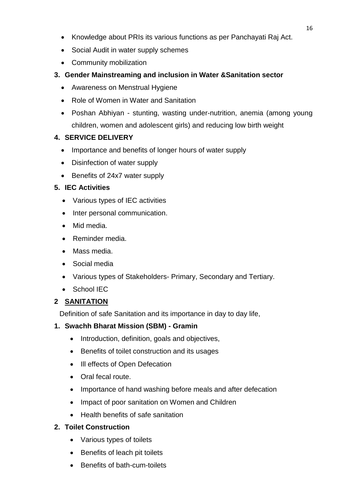- Knowledge about PRIs its various functions as per Panchayati Raj Act.
- Social Audit in water supply schemes
- Community mobilization

### **3. Gender Mainstreaming and inclusion in Water &Sanitation sector**

- Awareness on Menstrual Hygiene
- Role of Women in Water and Sanitation
- Poshan Abhiyan stunting, wasting under-nutrition, anemia (among young children, women and adolescent girls) and reducing low birth weight

### **4. SERVICE DELIVERY**

- Importance and benefits of longer hours of water supply
- Disinfection of water supply
- Benefits of 24x7 water supply

### **5. IEC Activities**

- Various types of IEC activities
- Inter personal communication.
- Mid media.
- Reminder media.
- Mass media.
- Social media
- Various types of Stakeholders- Primary, Secondary and Tertiary.
- School IEC

### **2 SANITATION**

Definition of safe Sanitation and its importance in day to day life,

### **1. Swachh Bharat Mission (SBM) - Gramin**

- Introduction, definition, goals and objectives,
- Benefits of toilet construction and its usages
- Ill effects of Open Defecation
- Oral fecal route.
- Importance of hand washing before meals and after defecation
- Impact of poor sanitation on Women and Children
- Health benefits of safe sanitation

### **2. Toilet Construction**

- Various types of toilets
- Benefits of leach pit toilets
- Benefits of bath-cum-toilets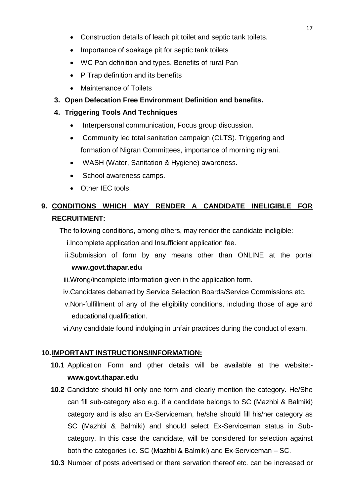- Construction details of leach pit toilet and septic tank toilets.
- Importance of soakage pit for septic tank toilets
- WC Pan definition and types. Benefits of rural Pan
- P Trap definition and its benefits
- Maintenance of Toilets
- **3. Open Defecation Free Environment Definition and benefits.**
- **4. Triggering Tools And Techniques**
	- Interpersonal communication, Focus group discussion.
	- Community led total sanitation campaign (CLTS). Triggering and formation of Nigran Committees, importance of morning nigrani.
	- WASH (Water, Sanitation & Hygiene) awareness.
	- School awareness camps.
	- Other IEC tools.

# **9. CONDITIONS WHICH MAY RENDER A CANDIDATE INELIGIBLE FOR RECRUITMENT:**

The following conditions, among others, may render the candidate ineligible:

i.Incomplete application and Insufficient application fee.

ii.Submission of form by any means other than ONLINE at the portal

### **www.govt.thapar.edu**

- iii.Wrong/incomplete information given in the application form.
- iv.Candidates debarred by Service Selection Boards/Service Commissions etc.
- v.Non-fulfillment of any of the eligibility conditions, including those of age and educational qualification.
- vi.Any candidate found indulging in unfair practices during the conduct of exam.

### **10.IMPORTANT INSTRUCTIONS/INFORMATION:**

- **10.1** Application Form and other details will be available at the website: **www.govt.thapar.edu**
- **10.2** Candidate should fill only one form and clearly mention the category. He/She can fill sub-category also e.g. if a candidate belongs to SC (Mazhbi & Balmiki) category and is also an Ex-Serviceman, he/she should fill his/her category as SC (Mazhbi & Balmiki) and should select Ex-Serviceman status in Subcategory. In this case the candidate, will be considered for selection against both the categories i.e. SC (Mazhbi & Balmiki) and Ex-Serviceman – SC.
- **10.3** Number of posts advertised or there servation thereof etc. can be increased or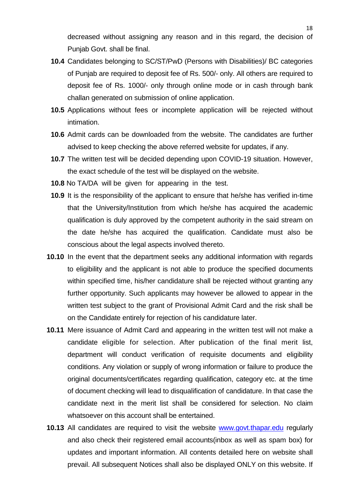decreased without assigning any reason and in this regard, the decision of Punjab Govt. shall be final.

- **10.4** Candidates belonging to SC/ST/PwD (Persons with Disabilities)/ BC categories of Punjab are required to deposit fee of Rs. 500/- only. All others are required to deposit fee of Rs. 1000/- only through online mode or in cash through bank challan generated on submission of online application.
- **10.5** Applications without fees or incomplete application will be rejected without intimation.
- **10.6** Admit cards can be downloaded from the website. The candidates are further advised to keep checking the above referred website for updates, if any.
- **10.7** The written test will be decided depending upon COVID-19 situation. However, the exact schedule of the test will be displayed on the website.
- **10.8** No TA/DA will be given for appearing in the test.
- **10.9** It is the responsibility of the applicant to ensure that he/she has verified in-time that the University/Institution from which he/she has acquired the academic qualification is duly approved by the competent authority in the said stream on the date he/she has acquired the qualification. Candidate must also be conscious about the legal aspects involved thereto.
- **10.10** In the event that the department seeks any additional information with regards to eligibility and the applicant is not able to produce the specified documents within specified time, his/her candidature shall be rejected without granting any further opportunity. Such applicants may however be allowed to appear in the written test subject to the grant of Provisional Admit Card and the risk shall be on the Candidate entirely for rejection of his candidature later.
- **10.11** Mere issuance of Admit Card and appearing in the written test will not make a candidate eligible for selection. After publication of the final merit list, department will conduct verification of requisite documents and eligibility conditions. Any violation or supply of wrong information or failure to produce the original documents/certificates regarding qualification, category etc. at the time of document checking will lead to disqualification of candidature. In that case the candidate next in the merit list shall be considered for selection. No claim whatsoever on this account shall be entertained.
- **10.13** All candidates are required to visit the website [www.govt.thapar.edu](http://www.govt.thapar.edu/) regularly and also check their registered email accounts(inbox as well as spam box) for updates and important information. All contents detailed here on website shall prevail. All subsequent Notices shall also be displayed ONLY on this website. If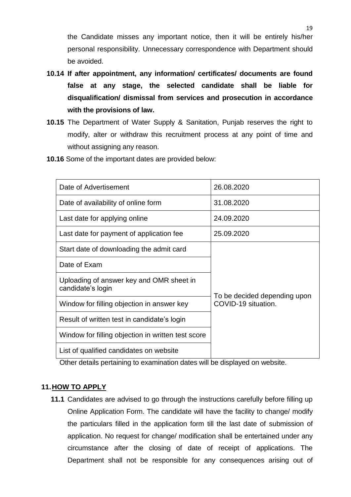the Candidate misses any important notice, then it will be entirely his/her personal responsibility. Unnecessary correspondence with Department should be avoided.

- **10.14 If after appointment, any information/ certificates/ documents are found false at any stage, the selected candidate shall be liable for disqualification/ dismissal from services and prosecution in accordance with the provisions of law.**
- **10.15** The Department of Water Supply & Sanitation, Punjab reserves the right to modify, alter or withdraw this recruitment process at any point of time and without assigning any reason.
- **10.16** Some of the important dates are provided below:

| Date of Advertisement                                         | 26.08.2020                                          |  |
|---------------------------------------------------------------|-----------------------------------------------------|--|
| Date of availability of online form                           | 31.08.2020                                          |  |
| Last date for applying online                                 | 24.09.2020                                          |  |
| Last date for payment of application fee                      | 25.09.2020                                          |  |
| Start date of downloading the admit card                      |                                                     |  |
| Date of Exam                                                  |                                                     |  |
| Uploading of answer key and OMR sheet in<br>candidate's login |                                                     |  |
| Window for filling objection in answer key                    | To be decided depending upon<br>COVID-19 situation. |  |
| Result of written test in candidate's login                   |                                                     |  |
| Window for filling objection in written test score            |                                                     |  |
| List of qualified candidates on website                       |                                                     |  |

Other details pertaining to examination dates will be displayed on website.

### **11.HOW TO APPLY**

**11.1** Candidates are advised to go through the instructions carefully before filling up Online Application Form. The candidate will have the facility to change/ modify the particulars filled in the application form till the last date of submission of application. No request for change/ modification shall be entertained under any circumstance after the closing of date of receipt of applications. The Department shall not be responsible for any consequences arising out of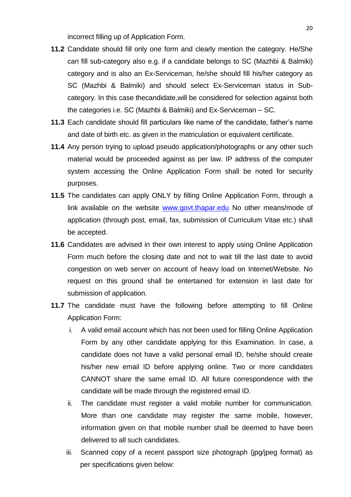incorrect filling up of Application Form.

- **11.2** Candidate should fill only one form and clearly mention the category. He/She can fill sub-category also e.g. if a candidate belongs to SC (Mazhbi & Balmiki) category and is also an Ex-Serviceman, he/she should fill his/her category as SC (Mazhbi & Balmiki) and should select Ex-Serviceman status in Subcategory. In this case thecandidate,will be considered for selection against both the categories i.e. SC (Mazhbi & Balmiki) and Ex-Serviceman – SC.
- **11.3** Each candidate should fill particulars like name of the candidate, father's name and date of birth etc. as given in the matriculation or equivalent certificate.
- **11.4** Any person trying to upload pseudo application/photographs or any other such material would be proceeded against as per law. IP address of the computer system accessing the Online Application Form shall be noted for security purposes.
- **11.5** The candidates can apply ONLY by filling Online Application Form, through a link available on the website [www.govt.thapar.edu](http://www.govt.thapar.edu/) No other means/mode of application (through post, email, fax, submission of Curriculum Vitae etc.) shall be accepted.
- **11.6** Candidates are advised in their own interest to apply using Online Application Form much before the closing date and not to wait till the last date to avoid congestion on web server on account of heavy load on Internet/Website. No request on this ground shall be entertained for extension in last date for submission of application.
- **11.7** The candidate must have the following before attempting to fill Online Application Form:
	- i. A valid email account which has not been used for filling Online Application Form by any other candidate applying for this Examination. In case, a candidate does not have a valid personal email ID, he/she should create his/her new email ID before applying online. Two or more candidates CANNOT share the same email ID. All future correspondence with the candidate will be made through the registered email ID.
	- ii. The candidate must register a valid mobile number for communication. More than one candidate may register the same mobile, however, information given on that mobile number shall be deemed to have been delivered to all such candidates.
	- iii. Scanned copy of a recent passport size photograph (jpg/jpeg format) as per specifications given below: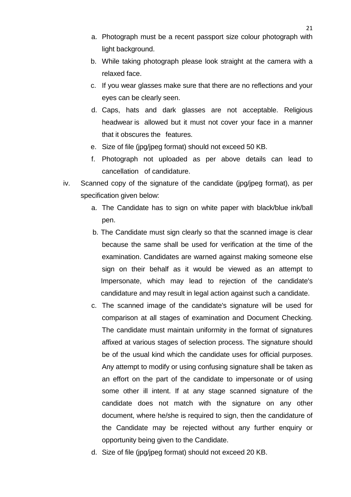- a. Photograph must be a recent passport size colour photograph with light background.
- b. While taking photograph please look straight at the camera with a relaxed face.
- c. If you wear glasses make sure that there are no reflections and your eyes can be clearly seen.
- d. Caps, hats and dark glasses are not acceptable. Religious headwear is allowed but it must not cover your face in a manner that it obscures the features.
- e. Size of file (jpg/jpeg format) should not exceed 50 KB.
- f. Photograph not uploaded as per above details can lead to cancellation of candidature.
- iv. Scanned copy of the signature of the candidate (jpg/jpeg format), as per specification given below:
	- a. The Candidate has to sign on white paper with black/blue ink/ball pen.
	- b. The Candidate must sign clearly so that the scanned image is clear because the same shall be used for verification at the time of the examination. Candidates are warned against making someone else sign on their behalf as it would be viewed as an attempt to Impersonate, which may lead to rejection of the candidate's candidature and may result in legal action against such a candidate.
	- c. The scanned image of the candidate's signature will be used for comparison at all stages of examination and Document Checking. The candidate must maintain uniformity in the format of signatures affixed at various stages of selection process. The signature should be of the usual kind which the candidate uses for official purposes. Any attempt to modify or using confusing signature shall be taken as an effort on the part of the candidate to impersonate or of using some other ill intent. If at any stage scanned signature of the candidate does not match with the signature on any other document, where he/she is required to sign, then the candidature of the Candidate may be rejected without any further enquiry or opportunity being given to the Candidate.
	- d. Size of file (jpg/jpeg format) should not exceed 20 KB.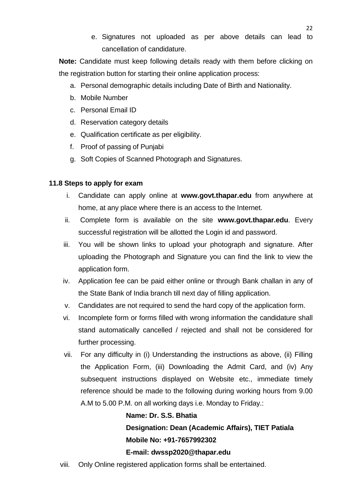e. Signatures not uploaded as per above details can lead to cancellation of candidature.

**Note:** Candidate must keep following details ready with them before clicking on the registration button for starting their online application process:

- a. Personal demographic details including Date of Birth and Nationality.
- b. Mobile Number
- c. Personal Email ID
- d. Reservation category details
- e. Qualification certificate as per eligibility.
- f. Proof of passing of Punjabi
- g. Soft Copies of Scanned Photograph and Signatures.

### **11.8 Steps to apply for exam**

- i. Candidate can apply online at **www.govt.thapar.edu** from anywhere at home, at any place where there is an access to the Internet.
- ii. Complete form is available on the site **www.govt.thapar.edu**. Every successful registration will be allotted the Login id and password.
- iii. You will be shown links to upload your photograph and signature. After uploading the Photograph and Signature you can find the link to view the application form.
- iv. Application fee can be paid either online or through Bank challan in any of the State Bank of India branch till next day of filling application.
- v. Candidates are not required to send the hard copy of the application form.
- vi. Incomplete form or forms filled with wrong information the candidature shall stand automatically cancelled / rejected and shall not be considered for further processing.
- vii. For any difficulty in (i) Understanding the instructions as above, (ii) Filling the Application Form, (iii) Downloading the Admit Card, and (iv) Any subsequent instructions displayed on Website etc., immediate timely reference should be made to the following during working hours from 9.00 A.M to 5.00 P.M. on all working days i.e. Monday to Friday.:

**Name: Dr. S.S. Bhatia Designation: Dean (Academic Affairs), TIET Patiala Mobile No: +91-7657992302 E-mail: dwssp2020@thapar.edu**

viii. Only Online registered application forms shall be entertained.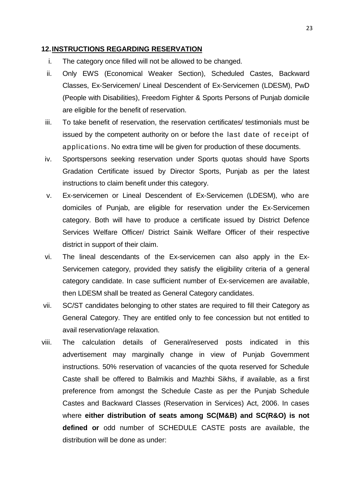#### **12.INSTRUCTIONS REGARDING RESERVATION**

- i. The category once filled will not be allowed to be changed.
- ii. Only EWS (Economical Weaker Section), Scheduled Castes, Backward Classes, Ex-Servicemen/ Lineal Descendent of Ex-Servicemen (LDESM), PwD (People with Disabilities), Freedom Fighter & Sports Persons of Punjab domicile are eligible for the benefit of reservation.
- iii. To take benefit of reservation, the reservation certificates/ testimonials must be issued by the competent authority on or before the last date of receipt of applications. No extra time will be given for production of these documents.
- iv. Sportspersons seeking reservation under Sports quotas should have Sports Gradation Certificate issued by Director Sports, Punjab as per the latest instructions to claim benefit under this category.
- v. Ex-servicemen or Lineal Descendent of Ex-Servicemen (LDESM), who are domiciles of Punjab, are eligible for reservation under the Ex-Servicemen category. Both will have to produce a certificate issued by District Defence Services Welfare Officer/ District Sainik Welfare Officer of their respective district in support of their claim.
- vi. The lineal descendants of the Ex-servicemen can also apply in the Ex-Servicemen category, provided they satisfy the eligibility criteria of a general category candidate. In case sufficient number of Ex-servicemen are available, then LDESM shall be treated as General Category candidates.
- vii. SC/ST candidates belonging to other states are required to fill their Category as General Category. They are entitled only to fee concession but not entitled to avail reservation/age relaxation.
- viii. The calculation details of General/reserved posts indicated in this advertisement may marginally change in view of Punjab Government instructions. 50% reservation of vacancies of the quota reserved for Schedule Caste shall be offered to Balmikis and Mazhbi Sikhs, if available, as a first preference from amongst the Schedule Caste as per the Punjab Schedule Castes and Backward Classes (Reservation in Services) Act, 2006. In cases where **either distribution of seats among SC(M&B) and SC(R&O) is not defined or** odd number of SCHEDULE CASTE posts are available, the distribution will be done as under: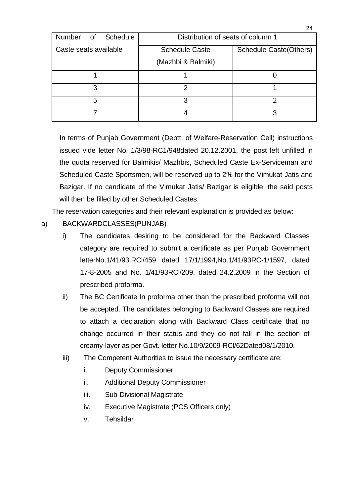| <b>Number</b><br>Schedule<br>$\overline{\mathsf{of}}$ | Distribution of seats of column 1 |                                |
|-------------------------------------------------------|-----------------------------------|--------------------------------|
| Caste seats available                                 | <b>Schedule Caste</b>             | <b>Schedule Caste (Others)</b> |
|                                                       | (Mazhbi & Balmiki)                |                                |
|                                                       |                                   |                                |
| 3                                                     |                                   |                                |
| 5                                                     | 3                                 |                                |
|                                                       |                                   | વ                              |

In terms of Punjab Government (Deptt. of Welfare-Reservation Cell) instructions issued vide letter No. 1/3/98-RC1/948dated 20.12.2001, the post left unfilled in the quota reserved for Balmikis/ Mazhbis, Scheduled Caste Ex-Serviceman and Scheduled Caste Sportsmen, will be reserved up to 2% for the Vimukat Jatis and Bazigar. If no candidate of the Vimukat Jatis/ Bazigar is eligible, the said posts will then be filled by other Scheduled Castes.

The reservation categories and their relevant explanation is provided as below:

a) BACKWARDCLASSES(PUNJAB)

- i) The candidates desiring to be considered for the Backward Classes category are required to submit a certificate as per Punjab Government letterNo.1/41/93.RCl/459 dated 17/1/1994,No.1/41/93RC-1/1597, dated 17-8-2005 and No. 1/41/93RCl/209, dated 24.2.2009 in the Section of prescribed proforma.
- ii) The BC Certificate In proforma other than the prescribed proforma will not be accepted. The candidates belonging to Backward Classes are required to attach a declaration along with Backward Class certificate that no change occurred in their status and they do not fall in the section of creamy-layer as per Govt. letter No.10/9/2009-RCl/62Dated08/1/2010.
- iii) The Competent Authorities to issue the necessary certificate are:
	- i. Deputy Commissioner
	- ii. Additional Deputy Commissioner
	- iii. Sub-Divisional Magistrate
	- iv. Executive Magistrate (PCS Officers only)
	- v. Tehsildar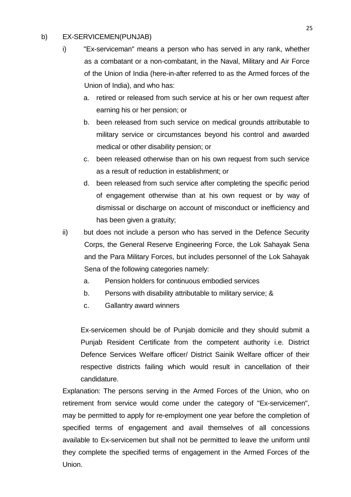#### b) EX-SERVICEMEN(PUNJAB)

- i) "Ex-serviceman" means a person who has served in any rank, whether as a combatant or a non-combatant, in the Naval, Military and Air Force of the Union of India (here-in-after referred to as the Armed forces of the Union of India), and who has:
	- a. retired or released from such service at his or her own request after earning his or her pension; or
	- b. been released from such service on medical grounds attributable to military service or circumstances beyond his control and awarded medical or other disability pension; or
	- c. been released otherwise than on his own request from such service as a result of reduction in establishment; or
	- d. been released from such service after completing the specific period of engagement otherwise than at his own request or by way of dismissal or discharge on account of misconduct or inefficiency and has been given a gratuity;
- ii) but does not include a person who has served in the Defence Security Corps, the General Reserve Engineering Force, the Lok Sahayak Sena and the Para Military Forces, but includes personnel of the Lok Sahayak Sena of the following categories namely:
	- a. Pension holders for continuous embodied services
	- b. Persons with disability attributable to military service; &
	- c. Gallantry award winners

Ex-servicemen should be of Punjab domicile and they should submit a Punjab Resident Certificate from the competent authority i.e. District Defence Services Welfare officer/ District Sainik Welfare officer of their respective districts failing which would result in cancellation of their candidature.

Explanation: The persons serving in the Armed Forces of the Union, who on retirement from service would come under the category of "Ex-servicemen", may be permitted to apply for re-employment one year before the completion of specified terms of engagement and avail themselves of all concessions available to Ex-servicemen but shall not be permitted to leave the uniform until they complete the specified terms of engagement in the Armed Forces of the Union.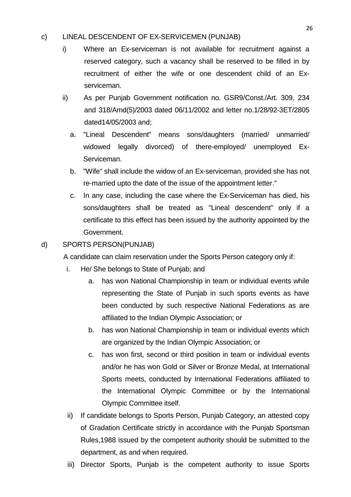#### c) LINEAL DESCENDENT OF EX-SERVICEMEN (PUNJAB)

- i) Where an Ex-serviceman is not available for recruitment against a reserved category, such a vacancy shall be reserved to be filled in by recruitment of either the wife or one descendent child of an Exserviceman.
- ii) As per Punjab Government notification no. GSR9/Const./Art. 309, 234 and 318/Amd(5)/2003 dated 06/11/2002 and letter no.1/28/92-3ET/2805 dated14/05/2003 and;
	- a. "Lineal Descendent" means sons/daughters (married/ unmarried/ widowed legally divorced) of there-employed/ unemployed Ex-Serviceman.
	- b. "Wife" shall include the widow of an Ex-serviceman, provided she has not re-married upto the date of the issue of the appointment letter."
	- c. In any case, including the case where the Ex-Serviceman has died, his sons/daughters shall be treated as "Lineal descendent" only if a certificate to this effect has been issued by the authority appointed by the Government.

### d) SPORTS PERSON(PUNJAB)

A candidate can claim reservation under the Sports Person category only if:

- i. He/ She belongs to State of Punjab; and
	- a. has won National Championship in team or individual events while representing the State of Punjab in such sports events as have been conducted by such respective National Federations as are affiliated to the Indian Olympic Association; or
	- b. has won National Championship in team or individual events which are organized by the Indian Olympic Association; or
	- c. has won first, second or third position in team or individual events and/or he has won Gold or Silver or Bronze Medal, at International Sports meets, conducted by International Federations affiliated to the International Olympic Committee or by the International Olympic Committee itself.
- ii) If candidate belongs to Sports Person, Punjab Category, an attested copy of Gradation Certificate strictly in accordance with the Punjab Sportsman Rules,1988 issued by the competent authority should be submitted to the department, as and when required.
- iii) Director Sports, Punjab is the competent authority to issue Sports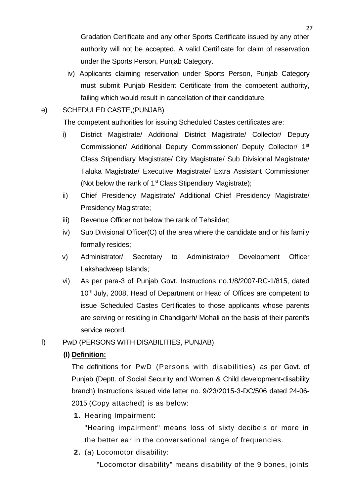Gradation Certificate and any other Sports Certificate issued by any other authority will not be accepted. A valid Certificate for claim of reservation under the Sports Person, Punjab Category.

iv) Applicants claiming reservation under Sports Person, Punjab Category must submit Punjab Resident Certificate from the competent authority, failing which would result in cancellation of their candidature.

### e) SCHEDULED CASTE,(PUNJAB)

The competent authorities for issuing Scheduled Castes certificates are:

- i) District Magistrate/ Additional District Magistrate/ Collector/ Deputy Commissioner/ Additional Deputy Commissioner/ Deputy Collector/ 1<sup>st</sup> Class Stipendiary Magistrate/ City Magistrate/ Sub Divisional Magistrate/ Taluka Magistrate/ Executive Magistrate/ Extra Assistant Commissioner (Not below the rank of 1<sup>st</sup> Class Stipendiary Magistrate);
- ii) Chief Presidency Magistrate/ Additional Chief Presidency Magistrate/ Presidency Magistrate;
- iii) Revenue Officer not below the rank of Tehsildar;
- iv) Sub Divisional Officer(C) of the area where the candidate and or his family formally resides;
- v) Administrator/ Secretary to Administrator/ Development Officer Lakshadweep Islands;
- vi) As per para-3 of Punjab Govt. Instructions no.1/8/2007-RC-1/815, dated 10<sup>th</sup> July, 2008, Head of Department or Head of Offices are competent to issue Scheduled Castes Certificates to those applicants whose parents are serving or residing in Chandigarh/ Mohali on the basis of their parent's service record.
- f) PwD (PERSONS WITH DISABILITIES, PUNJAB)

# **(I) Definition:**

The definitions for PwD (Persons with disabilities) as per Govt. of Punjab (Deptt. of Social Security and Women & Child development-disability branch) Instructions issued vide letter no. 9/23/2015-3-DC/506 dated 24-06- 2015 (Copy attached) is as below:

**1.** Hearing Impairment:

"Hearing impairment" means loss of sixty decibels or more in the better ear in the conversational range of frequencies.

**2.** (a) Locomotor disability:

"Locomotor disability" means disability of the 9 bones, joints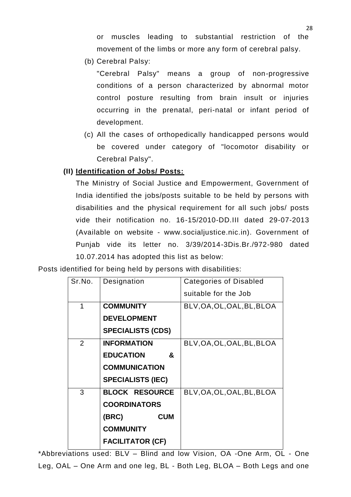or muscles leading to substantial restriction of the movement of the limbs or more any form of cerebral palsy.

(b) Cerebral Palsy:

"Cerebral Palsy" means a group of non-progressive conditions of a person characterized by abnormal motor control posture resulting from brain insult or injuries occurring in the prenatal, peri-natal or infant period of development.

(c) All the cases of orthopedically handicapped persons would be covered under category of "locomotor disability or Cerebral Palsy".

### **(II) Identification of Jobs/ Posts:**

The Ministry of Social Justice and Empowerment, Government of India identified the jobs/posts suitable to be held by persons with disabilities and the physical requirement for all such jobs/ posts vide their notification no. 16-15/2010-DD.III dated 29-07-2013 (Available on website - www.socialjustice.nic.in). Government of Punjab vide its letter no. 3/39/2014-3Dis.Br./972-980 dated 10.07.2014 has adopted this list as below:

Posts identified for being held by persons with disabilities:

| Sr.No. | Designation              | <b>Categories of Disabled</b> |
|--------|--------------------------|-------------------------------|
|        |                          | suitable for the Job          |
| 1      | <b>COMMUNITY</b>         | BLV, OA, OL, OAL, BL, BLOA    |
|        | <b>DEVELOPMENT</b>       |                               |
|        | <b>SPECIALISTS (CDS)</b> |                               |
| 2      | <b>INFORMATION</b>       | BLV, OA, OL, OAL, BL, BLOA    |
|        | <b>EDUCATION</b><br>&    |                               |
|        | <b>COMMUNICATION</b>     |                               |
|        | <b>SPECIALISTS (IEC)</b> |                               |
| 3      | <b>BLOCK RESOURCE</b>    | BLV, OA, OL, OAL, BL, BLOA    |
|        | <b>COORDINATORS</b>      |                               |
|        | <b>CUM</b><br>(BRC)      |                               |
|        | <b>COMMUNITY</b>         |                               |
|        | <b>FACILITATOR (CF)</b>  |                               |

\*Abbreviations used: BLV – Blind and low Vision, OA -One Arm, OL - One Leg, OAL – One Arm and one leg, BL - Both Leg, BLOA – Both Legs and one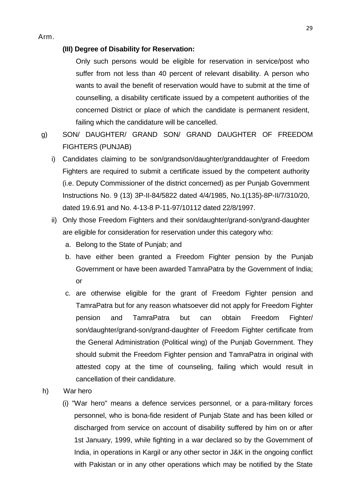#### **(III) Degree of Disability for Reservation:**

Only such persons would be eligible for reservation in service/post who suffer from not less than 40 percent of relevant disability. A person who wants to avail the benefit of reservation would have to submit at the time of counselling, a disability certificate issued by a competent authorities of the concerned District or place of which the candidate is permanent resident, failing which the candidature will be cancelled.

g) SON/ DAUGHTER/ GRAND SON/ GRAND DAUGHTER OF FREEDOM FIGHTERS (PUNJAB)

- i) Candidates claiming to be son/grandson/daughter/granddaughter of Freedom Fighters are required to submit a certificate issued by the competent authority (i.e. Deputy Commissioner of the district concerned) as per Punjab Government Instructions No. 9 (13) 3P-II-84/5822 dated 4/4/1985, No.1(135)-8P-II/7/310/20, dated 19.6.91 and No. 4-13-8 P-11-97/10112 dated 22/8/1997.
- ii) Only those Freedom Fighters and their son/daughter/grand-son/grand-daughter are eligible for consideration for reservation under this category who:
	- a. Belong to the State of Punjab; and
	- b. have either been granted a Freedom Fighter pension by the Punjab Government or have been awarded TamraPatra by the Government of India; or
	- c. are otherwise eligible for the grant of Freedom Fighter pension and TamraPatra but for any reason whatsoever did not apply for Freedom Fighter pension and TamraPatra but can obtain Freedom Fighter/ son/daughter/grand-son/grand-daughter of Freedom Fighter certificate from the General Administration (Political wing) of the Punjab Government. They should submit the Freedom Fighter pension and TamraPatra in original with attested copy at the time of counseling, failing which would result in cancellation of their candidature.
- h) War hero
	- (i) "War hero" means a defence services personnel, or a para-military forces personnel, who is bona-fide resident of Punjab State and has been killed or discharged from service on account of disability suffered by him on or after 1st January, 1999, while fighting in a war declared so by the Government of India, in operations in Kargil or any other sector in J&K in the ongoing conflict with Pakistan or in any other operations which may be notified by the State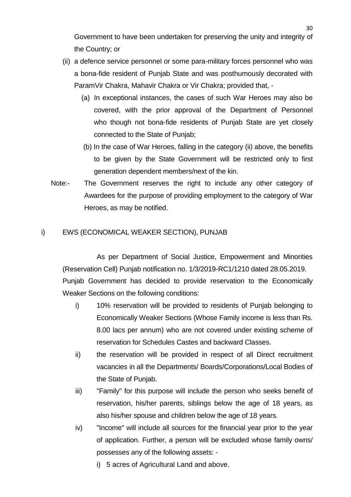Government to have been undertaken for preserving the unity and integrity of the Country; or

- (ii) a defence service personnel or some para-military forces personnel who was a bona-fide resident of Punjab State and was posthumously decorated with ParamVir Chakra, Mahavir Chakra or Vir Chakra; provided that, -
	- (a) In exceptional instances, the cases of such War Heroes may also be covered, with the prior approval of the Department of Personnel who though not bona-fide residents of Punjab State are yet closely connected to the State of Punjab;
	- (b) In the case of War Heroes, falling in the category (ii) above, the benefits to be given by the State Government will be restricted only to first generation dependent members/next of the kin.
- Note:- The Government reserves the right to include any other category of Awardees for the purpose of providing employment to the category of War Heroes, as may be notified.

### i) EWS (ECONOMICAL WEAKER SECTION), PUNJAB

As per Department of Social Justice, Empowerment and Minorities (Reservation Cell) Punjab notification no. 1/3/2019-RC1/1210 dated 28.05.2019. Punjab Government has decided to provide reservation to the Economically Weaker Sections on the following conditions:

- i) 10% reservation will be provided to residents of Punjab belonging to Economically Weaker Sections (Whose Family income is less than Rs. 8.00 lacs per annum) who are not covered under existing scheme of reservation for Schedules Castes and backward Classes.
- ii) the reservation will be provided in respect of all Direct recruitment vacancies in all the Departments/ Boards/Corporations/Local Bodies of the State of Punjab.
- iii) "Family" for this purpose will include the person who seeks benefit of reservation, his/her parents, siblings below the age of 18 years, as also his/her spouse and children below the age of 18 years.
- iv) "Income" will include all sources for the financial year prior to the year of application. Further, a person will be excluded whose family owns/ possesses any of the following assets:
	- i) 5 acres of Agricultural Land and above.